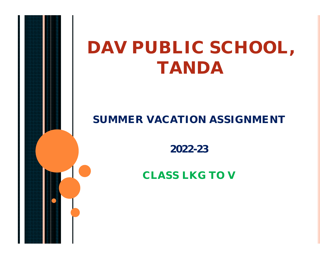## **DAV PUBLIC SCHOOL, TANDA**

#### **SUMMER VACATION ASSIGNMENT**

**2022-23**

**CLASS LKG TO V**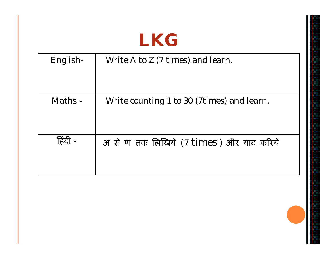### **LKG**

| English- | Write A to Z (7 times) and learn.          |
|----------|--------------------------------------------|
| Maths -  | Write counting 1 to 30 (7times) and learn. |
| हिट      | अ से ण तक लिखिये (7 times) और याद करिये    |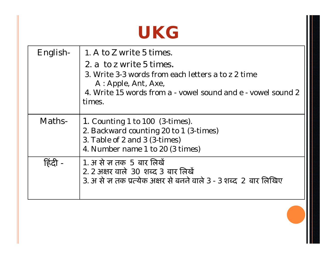#### **UKG**

| English- | 1. A to Z write 5 times.<br>2. a to z write 5 times.<br>3. Write 3-3 words from each letters a to z 2 time<br>A: Apple, Ant, Axe,<br>4. Write 15 words from a - vowel sound and e - vowel sound 2<br>times. |
|----------|-------------------------------------------------------------------------------------------------------------------------------------------------------------------------------------------------------------|
| Maths-   | 1. Counting 1 to 100 (3-times).<br>2. Backward counting 20 to 1 (3-times)<br>3. Table of 2 and 3 (3-times)<br>4. Number name 1 to 20 (3 times)                                                              |
|          | 1. अ से ज़ तक 5 बार लिखें<br>2. 2 अक्षर वाले 30 शब्द 3 बार लिखें<br>3. अ से ज्ञ तक प्रत्येक अक्षर से बनने वाले 3 - 3 शब्द 2 बार लिखिए                                                                       |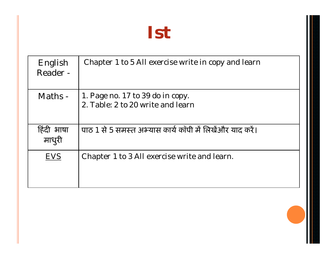### **Ist**

| English<br>Reader -  | Chapter 1 to 5 All exercise write in copy and learn                   |
|----------------------|-----------------------------------------------------------------------|
| Maths -              | 1. Page no. 17 to 39 do in copy.<br>2. Table: 2 to 20 write and learn |
| हिंदी भाषा<br>माधुरी | पाठ 1 से 5 समस्त अभ्यास कार्य कॉपी में लिखेंऔर याद करें।              |
| <b>EVS</b>           | Chapter 1 to 3 All exercise write and learn.                          |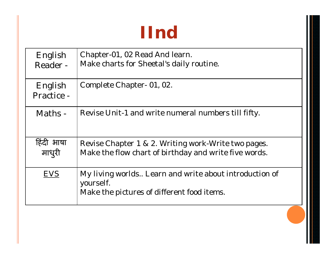# **IInd**

| English<br>Reader -   | Chapter-01, 02 Read And learn.<br>Make charts for Sheetal's daily routine.                                        |
|-----------------------|-------------------------------------------------------------------------------------------------------------------|
| English<br>Practice - | Complete Chapter - 01, 02.                                                                                        |
| Maths -               | Revise Unit-1 and write numeral numbers till fifty.                                                               |
| हिंदी भाषा<br>माधुरी  | Revise Chapter 1 & 2. Writing work-Write two pages.<br>Make the flow chart of birthday and write five words.      |
| <b>EVS</b>            | My living worlds Learn and write about introduction of<br>yourself.<br>Make the pictures of different food items. |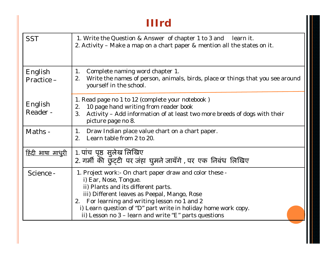#### **IIIrd**

| <b>SST</b>               | 1. Write the Question & Answer of chapter 1 to 3 and<br>learn it.<br>2. Activity – Make a map on a chart paper & mention all the states on it.                                                                                                                                                                                                      |
|--------------------------|-----------------------------------------------------------------------------------------------------------------------------------------------------------------------------------------------------------------------------------------------------------------------------------------------------------------------------------------------------|
| English<br>Practice-     | Complete naming word chapter 1.<br>1.<br>Write the names of person, animals, birds, place or things that you see around<br>2.<br>yourself in the school.                                                                                                                                                                                            |
| English<br>Reader -      | 1. Read page no 1 to 12 (complete your notebook)<br>10 page hand writing from reader book<br>2.<br>Activity - Add information of at least two more breeds of dogs with their<br>3 <sub>1</sub><br>picture page no 8.                                                                                                                                |
| Maths -                  | Draw Indian place value chart on a chart paper.<br>$1_{\cdot}$<br>Learn table from 2 to 20.<br>2 <sub>1</sub>                                                                                                                                                                                                                                       |
| <u>हिंदी भाषा माधुरी</u> | 1. पांच पृष्ठ सुलेख लिखिए<br>2. गर्मी की छुट्टी पर जंहा घुमने जायँगे , पर एक निबंध लिखिए                                                                                                                                                                                                                                                            |
| Science -                | 1. Project work:- On chart paper draw and color these -<br>i) Ear, Nose, Tongue.<br>ii) Plants and its different parts.<br>iii) Different leaves as Peepal, Mango, Rose<br>2. For learning and writing lesson no 1 and 2<br>i) Learn question of "D" part write in holiday home work copy.<br>ii) Lesson no 3 - learn and write "E" parts questions |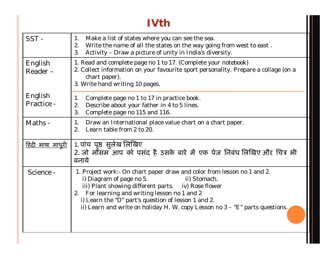#### **IVth**

| SST-                     | Make a list of states where you can see the sea.<br>1.<br>Write the name of all the states on the way going from west to east.<br>2.<br>Activity - Draw a picture of unity in India's diversity.<br>3.                                                                                                                                                                |
|--------------------------|-----------------------------------------------------------------------------------------------------------------------------------------------------------------------------------------------------------------------------------------------------------------------------------------------------------------------------------------------------------------------|
| English<br>Reader-       | 1. Read and complete page no 1 to 17. (Complete your notebook)<br>2. Collect information on your favourite sport personality. Prepare a collage (on a<br>chart paper).<br>3. Write hand writing 10 pages.                                                                                                                                                             |
| English<br>Practice -    | Complete page no 1 to 17 in practice book.<br>1.<br>Describe about your father in 4 to 5 lines.<br>2.<br>3.<br>Complete page no 115 and 116.                                                                                                                                                                                                                          |
| Maths -                  | Draw an International place value chart on a chart paper.<br>1.<br>Learn table from 2 to 20.<br>2 <sub>1</sub>                                                                                                                                                                                                                                                        |
| <u>हिंदी भाषा माधुरी</u> | 1. पांच पृष्ठ सुलेख लिखिए<br>2. जो मौसम आप को पसंद है उसके बारे में एक पेज निबंध लिखिए और चित्र भी<br>बनाये                                                                                                                                                                                                                                                           |
| Science -                | 1. Project work:- On chart paper draw and color from lesson no 1 and 2.<br>i) Diagram of page no 5.<br>ii) Stomach.<br>iii) Plant showing different parts. iv) Rose flower<br>For learning and writing lesson no 1 and 2<br>2.<br>i) Learn the "D" part's question of lesson 1 and 2.<br>ii) Learn and write on holiday H. W. copy Lesson no 3 - "E" parts questions. |

I.